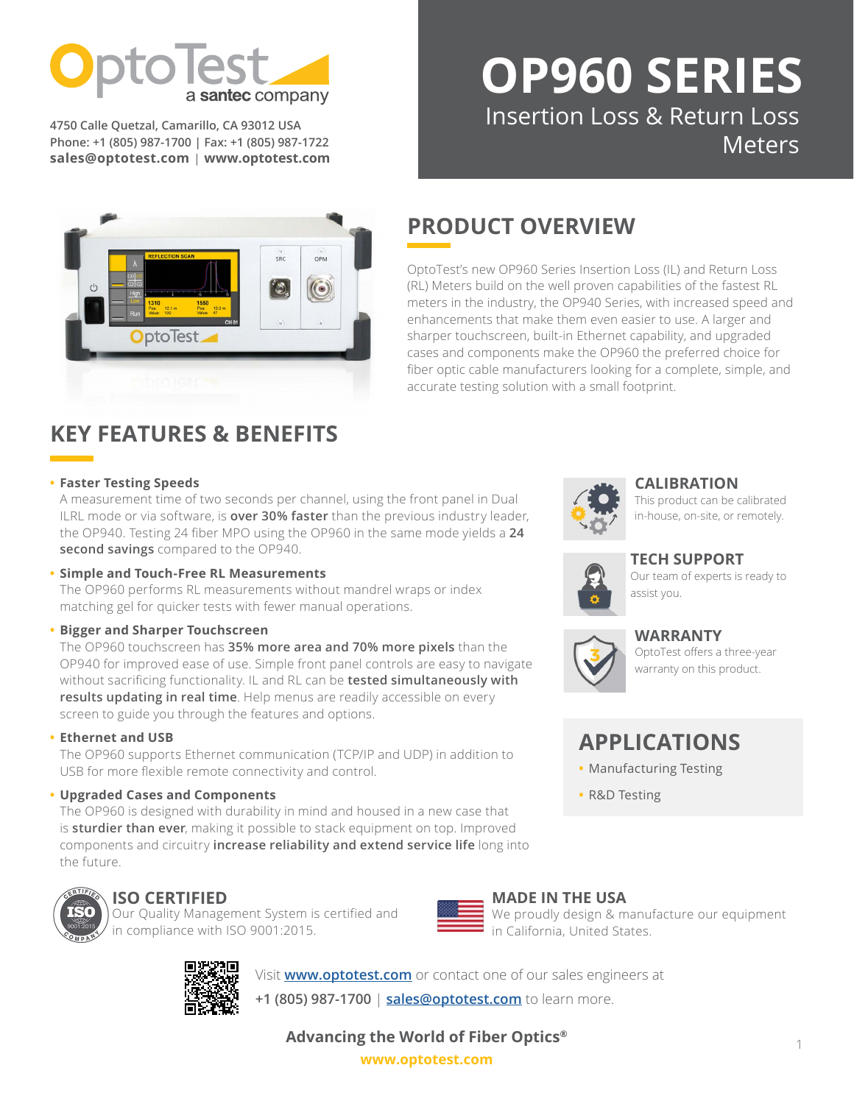

**4750 Calle Quetzal, Camarillo, CA 93012 USA Phone: +1 (805) 987-1700 | Fax: +1 (805) 987-1722 [sales@optotest.com](mailto:sales%40optotest.com?subject=) | [www.optotest.com](http://www.optotest.com)**

# **[OP9](mailto:https://www.optotest.com/optical-power-meters/op740-high-speed-multichannel-optical-power-meter/?subject=)60 SERIES** Insertion Loss & Return Loss Meters



# **PRODUCT OVERVIEW**

OptoTest's new OP960 Series Insertion Loss (IL) and Return Loss (RL) Meters build on the well proven capabilities of the fastest RL meters in the industry, the OP940 Series, with increased speed and enhancements that make them even easier to use. A larger and sharper touchscreen, built-in Ethernet capability, and upgraded cases and components make the OP960 the preferred choice for fiber optic cable manufacturers looking for a complete, simple, and accurate testing solution with a small footprint.

# **KEY FEATURES & BENEFITS**

## **• Faster Testing Speeds**

A measurement time of two seconds per channel, using the front panel in Dual ILRL mode or via software, is **over 30% faster** than the previous industry leader, the OP940. Testing 24 fiber MPO using the OP960 in the same mode yields a **24 second savings** compared to the OP940.

## **• Simple and Touch-Free RL Measurements**

The OP960 performs RL measurements without mandrel wraps or index matching gel for quicker tests with fewer manual operations.

## **• Bigger and Sharper Touchscreen**

The OP960 touchscreen has **35% more area and 70% more pixels** than the OP940 for improved ease of use. Simple front panel controls are easy to navigate without sacrificing functionality. IL and RL can be **tested simultaneously with results updating in real time**. Help menus are readily accessible on every screen to guide you through the features and options.

## **• Ethernet and USB**

The OP960 supports Ethernet communication (TCP/IP and UDP) in addition to USB for more flexible remote connectivity and control.

## **• Upgraded Cases and Components**

The OP960 is designed with durability in mind and housed in a new case that is **sturdier than ever**, making it possible to stack equipment on top. Improved components and circuitry **increase reliability and extend service life** long into the future.



# **ISO CERTIFIED**

Our Quality Management System is certified and in compliance with ISO 9001:2015.



#### **MADE IN THE USA** We proudly design & manufacture our equipment in California, United States.

Visit **[www.optotest.com](http://www.optotest.com)** or contact one of our sales engineers at

**+1 (805) 987-1700** | **[sales@optotest.com](mailto:sales%40optotest.com?subject=)** to learn more.

**Advancing the World of Fiber Optics®**

**[www.optotest.com](https://www.optotest.com/)**



# [This product can be calibrated](https://www.optotest.com/calibration-services/)  in-house, on-site, or remotely.

# **[TECH SUPPORT](https://www.optotest.com/support-fiber-optic-test-equipment/tech-support-fiber-optic-test-equipment/)**

**[CALIBRATION](https://www.optotest.com/calibration-services/)** 

[Our team of experts is ready to](https://www.optotest.com/support-fiber-optic-test-equipment/tech-support-fiber-optic-test-equipment/)  assist you.



## **[WARRANTY](https://www.optotest.com/about-optotest/terms-conditions-fiber-optic-test-equipment/)**

[OptoTest offers a three-year](https://www.optotest.com/about-optotest-fiber-optic-test-equipment/terms-conditions-fiber-optic-test-equipment/) warranty on this product.

# **APPLICATIONS**

- **•** Manufacturing Testing
- **•** R&D Testing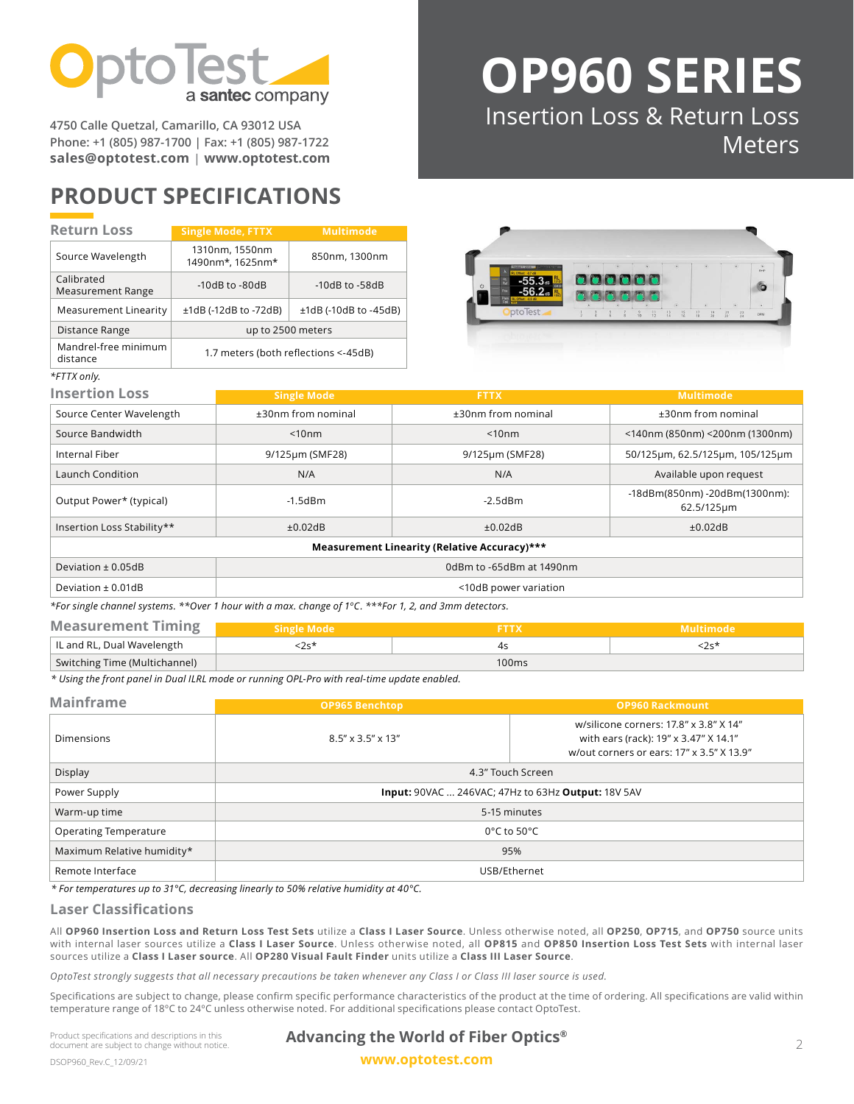

**4750 Calle Quetzal, Camarillo, CA 93012 USA Phone: +1 (805) 987-1700 | Fax: +1 (805) 987-1722 [sales@optotest.com](mailto:sales%40optotest.com?subject=) | [www.optotest.com](http://www.optotest.com)**

# **PRODUCT SPECIFICATIONS**

#### **Single Mode, FTTX Multimode** Source Wavelength 1310nm, 1550nm 1490nm\*, 1625nm\* 850nm, 1300nm Calibrated Calibrated<br>Measurement Range 10dB to -80dB -10dB to -58dB Measurement Linearity  $\vert$   $\pm$ 1dB (-12dB to -72dB)  $\vert$   $\pm$ 1dB (-10dB to -45dB) Distance Range and all the up to 2500 meters Mandrel-free minimum Mandrei-free minimum<br>distance 1.7 meters (both reflections <-45dB) **Return Loss** *\*FTTX only.*



**[OP9](mailto:https://www.optotest.com/optical-power-meters/op740-high-speed-multichannel-optical-power-meter/?subject=)60 SERIES**

Insertion Loss & Return Loss

Meters

| <b>Insertion Loss</b>                        | <b>Single Mode</b>       | <b>FTTX</b>           | <b>Multimode</b>                            |  |
|----------------------------------------------|--------------------------|-----------------------|---------------------------------------------|--|
| Source Center Wavelength                     | $±30$ nm from nominal    | $±30$ nm from nominal | $±30$ nm from nominal                       |  |
| Source Bandwidth                             | $<$ 10nm                 | < 10nm                | $\leq$ 140nm (850nm) $\leq$ 200nm (1300nm)  |  |
| Internal Fiber                               | 9/125µm (SMF28)          | 9/125µm (SMF28)       | 50/125um, 62.5/125um, 105/125um             |  |
| Launch Condition                             | N/A                      | N/A                   | Available upon request                      |  |
| Output Power* (typical)                      | $-1.5$ d $Bm$            | $-2.5$ d $Bm$         | -18dBm(850nm) -20dBm(1300nm):<br>62.5/125µm |  |
| Insertion Loss Stability**                   | $\pm 0.02$ dB            | ±0.02dB               | ±0.02dB                                     |  |
| Measurement Linearity (Relative Accuracy)*** |                          |                       |                                             |  |
| Deviation $\pm$ 0.05dB                       | 0dBm to -65dBm at 1490nm |                       |                                             |  |
| Deviation $\pm$ 0.01dB                       | <10dB power variation    |                       |                                             |  |

*\*For single channel systems. \*\*Over 1 hour with a max. change of 1ºC. \*\*\*For 1, 2, and 3mm detectors.*

| <b>Measurement Timing</b>     | Single Mode <b>!</b> |                   | 'Multimode |
|-------------------------------|----------------------|-------------------|------------|
| IL and RL, Dual Wavelength    |                      |                   |            |
| Switching Time (Multichannel) |                      | 100 <sub>ms</sub> |            |

*\* Using the front panel in Dual ILRL mode or running OPL-Pro with real-time update enabled.*

| <b>Mainframe</b>             | <b>OP965 Benchtop</b>                                     | <b>OP960 Rackmount</b>                                                                                                       |  |
|------------------------------|-----------------------------------------------------------|------------------------------------------------------------------------------------------------------------------------------|--|
| <b>Dimensions</b>            | $8.5'' \times 3.5'' \times 13''$                          | w/silicone corners: 17.8" x 3.8" X 14"<br>with ears (rack): 19" x 3.47" X 14.1"<br>w/out corners or ears: 17" x 3.5" X 13.9" |  |
| Display                      | 4.3" Touch Screen                                         |                                                                                                                              |  |
| Power Supply                 | <b>Input: 90VAC  246VAC; 47Hz to 63Hz Output: 18V 5AV</b> |                                                                                                                              |  |
| Warm-up time                 | 5-15 minutes                                              |                                                                                                                              |  |
| <b>Operating Temperature</b> | $0^{\circ}$ C to 50 $^{\circ}$ C                          |                                                                                                                              |  |
| Maximum Relative humidity*   | 95%                                                       |                                                                                                                              |  |
| Remote Interface             | USB/Ethernet                                              |                                                                                                                              |  |

*\* For temperatures up to 31°C, decreasing linearly to 50% relative humidity at 40°C.*

#### **Laser Classifications**

All **OP960 Insertion Loss and Return Loss Test Sets** utilize a **Class I Laser Source**. Unless otherwise noted, all **OP250**, **OP715**, and **OP750** source units with internal laser sources utilize a **Class I Laser Source**. Unless otherwise noted, all **OP815** and **OP850 Insertion Loss Test Sets** with internal laser sources utilize a **Class I Laser source**. All **OP280 Visual Fault Finder** units utilize a **Class III Laser Source**.

*OptoTest strongly suggests that all necessary precautions be taken whenever any Class I or Class III laser source is used.*

Specifications are subject to change, please confirm specific performance characteristics of the product at the time of ordering. All specifications are valid within temperature range of 18ºC to 24ºC unless otherwise noted. For additional specifications please contact OptoTest.

Product specifications and descriptions in this document are subject to change without notice.

## **Advancing the World of Fiber Optics®**

**[www.optotest.com](https://www.optotest.com/)**